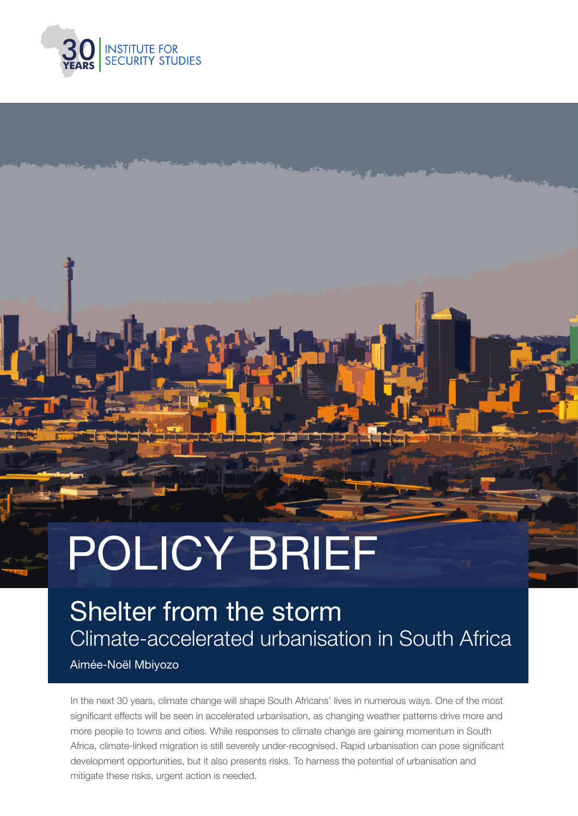

# POLICY BRIEF

# Shelter from the storm Climate-accelerated urbanisation in South Africa

Aimée-Noël Mbiyozo

In the next 30 years, climate change will shape South Africans' lives in numerous ways. One of the most significant effects will be seen in accelerated urbanisation, as changing weather patterns drive more and more people to towns and cities. While responses to climate change are gaining momentum in South Africa, climate-linked migration is still severely under-recognised. Rapid urbanisation can pose significant development opportunities, but it also presents risks. To harness the potential of urbanisation and mitigate these risks, urgent action is needed.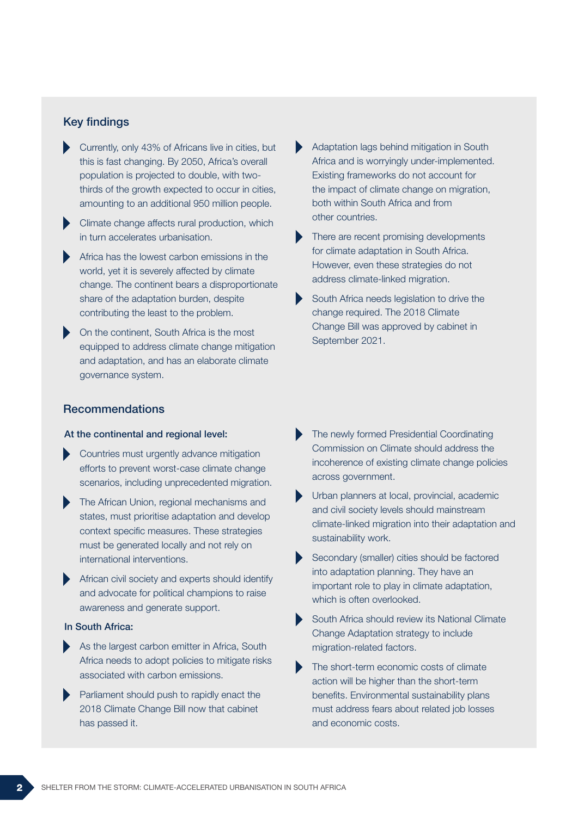#### Key findings

- Currently, only 43% of Africans live in cities, but this is fast changing. By 2050, Africa's overall population is projected to double, with twothirds of the growth expected to occur in cities, amounting to an additional 950 million people.
- Climate change affects rural production, which in turn accelerates urbanisation.
- Africa has the lowest carbon emissions in the world, yet it is severely affected by climate change. The continent bears a disproportionate share of the adaptation burden, despite contributing the least to the problem.
- On the continent, South Africa is the most equipped to address climate change mitigation and adaptation, and has an elaborate climate governance system.

#### Recommendations

#### At the continental and regional level:

- Countries must urgently advance mitigation efforts to prevent worst-case climate change scenarios, including unprecedented migration.
- The African Union, regional mechanisms and states, must prioritise adaptation and develop context specific measures. These strategies must be generated locally and not rely on international interventions.
- African civil society and experts should identify and advocate for political champions to raise awareness and generate support.

#### In South Africa:

- As the largest carbon emitter in Africa, South Africa needs to adopt policies to mitigate risks associated with carbon emissions.
- Parliament should push to rapidly enact the 2018 Climate Change Bill now that cabinet has passed it.
- Adaptation lags behind mitigation in South Africa and is worryingly under-implemented. Existing frameworks do not account for the impact of climate change on migration, both within South Africa and from other countries.
- There are recent promising developments for climate adaptation in South Africa. However, even these strategies do not address climate-linked migration.
- South Africa needs legislation to drive the change required. The 2018 Climate Change Bill was approved by cabinet in September 2021.
- The newly formed Presidential Coordinating Commission on Climate should address the incoherence of existing climate change policies across government.
- Urban planners at local, provincial, academic and civil society levels should mainstream climate-linked migration into their adaptation and sustainability work.
- Secondary (smaller) cities should be factored into adaptation planning. They have an important role to play in climate adaptation, which is often overlooked.
- South Africa should review its National Climate Change Adaptation strategy to include migration-related factors.
- The short-term economic costs of climate action will be higher than the short-term benefits. Environmental sustainability plans must address fears about related job losses and economic costs.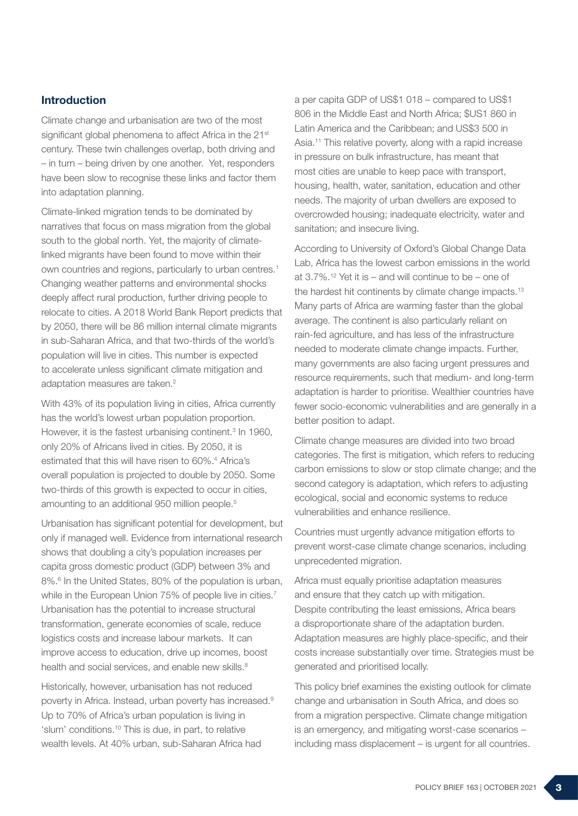#### Introduction

Climate change and urbanisation are two of the most significant global phenomena to affect Africa in the 21<sup>st</sup> century. These twin challenges overlap, both driving and – in turn – being driven by one another. Yet, responders have been slow to recognise these links and factor them into adaptation planning.

Climate-linked migration tends to be dominated by narratives that focus on mass migration from the global south to the global north. Yet, the majority of climatelinked migrants have been found to move within their own countries and regions, particularly to urban centres.1 Changing weather patterns and environmental shocks deeply affect rural production, further driving people to relocate to cities. A 2018 World Bank Report predicts that by 2050, there will be 86 million internal climate migrants in sub-Saharan Africa, and that two-thirds of the world's population will live in cities. This number is expected to accelerate unless significant climate mitigation and adaptation measures are taken.<sup>2</sup>

With 43% of its population living in cities, Africa currently has the world's lowest urban population proportion. However, it is the fastest urbanising continent.<sup>3</sup> In 1960, only 20% of Africans lived in cities. By 2050, it is estimated that this will have risen to 60%.<sup>4</sup> Africa's overall population is projected to double by 2050. Some two-thirds of this growth is expected to occur in cities, amounting to an additional 950 million people.5

Urbanisation has significant potential for development, but only if managed well. Evidence from international research shows that doubling a city's population increases per capita gross domestic product (GDP) between 3% and 8%.<sup>6</sup> In the United States, 80% of the population is urban, while in the European Union 75% of people live in cities.<sup>7</sup> Urbanisation has the potential to increase structural transformation, generate economies of scale, reduce logistics costs and increase labour markets. It can improve access to education, drive up incomes, boost health and social services, and enable new skills.<sup>8</sup>

Historically, however, urbanisation has not reduced poverty in Africa. Instead, urban poverty has increased.9 Up to 70% of Africa's urban population is living in 'slum' conditions.10 This is due, in part, to relative wealth levels. At 40% urban, sub-Saharan Africa had

a per capita GDP of US\$1 018 – compared to US\$1 806 in the Middle East and North Africa; \$US1 860 in Latin America and the Caribbean; and US\$3 500 in Asia.<sup>11</sup> This relative poverty, along with a rapid increase in pressure on bulk infrastructure, has meant that most cities are unable to keep pace with transport, housing, health, water, sanitation, education and other needs. The majority of urban dwellers are exposed to overcrowded housing; inadequate electricity, water and sanitation; and insecure living.

According to University of Oxford's Global Change Data Lab, Africa has the lowest carbon emissions in the world at  $3.7\%$ .<sup>12</sup> Yet it is – and will continue to be – one of the hardest hit continents by climate change impacts.<sup>13</sup> Many parts of Africa are warming faster than the global average. The continent is also particularly reliant on rain-fed agriculture, and has less of the infrastructure needed to moderate climate change impacts. Further, many governments are also facing urgent pressures and resource requirements, such that medium- and long-term adaptation is harder to prioritise. Wealthier countries have fewer socio-economic vulnerabilities and are generally in a better position to adapt.

Climate change measures are divided into two broad categories. The first is mitigation, which refers to reducing carbon emissions to slow or stop climate change; and the second category is adaptation, which refers to adjusting ecological, social and economic systems to reduce vulnerabilities and enhance resilience.

Countries must urgently advance mitigation efforts to prevent worst-case climate change scenarios, including unprecedented migration.

Africa must equally prioritise adaptation measures and ensure that they catch up with mitigation. Despite contributing the least emissions, Africa bears a disproportionate share of the adaptation burden. Adaptation measures are highly place-specific, and their costs increase substantially over time. Strategies must be generated and prioritised locally.

This policy brief examines the existing outlook for climate change and urbanisation in South Africa, and does so from a migration perspective. Climate change mitigation is an emergency, and mitigating worst-case scenarios – including mass displacement – is urgent for all countries.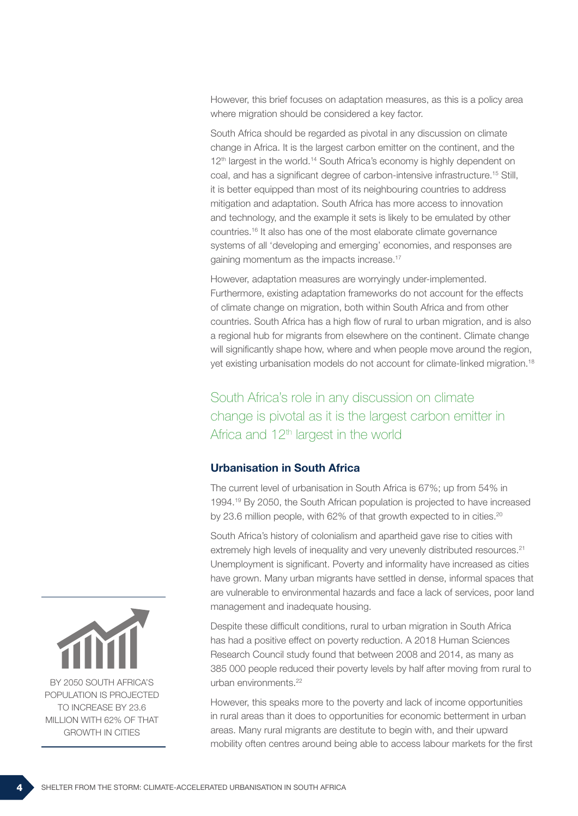However, this brief focuses on adaptation measures, as this is a policy area where migration should be considered a key factor.

South Africa should be regarded as pivotal in any discussion on climate change in Africa. It is the largest carbon emitter on the continent, and the 12<sup>th</sup> largest in the world.<sup>14</sup> South Africa's economy is highly dependent on coal, and has a significant degree of carbon-intensive infrastructure.15 Still, it is better equipped than most of its neighbouring countries to address mitigation and adaptation. South Africa has more access to innovation and technology, and the example it sets is likely to be emulated by other countries.16 It also has one of the most elaborate climate governance systems of all 'developing and emerging' economies, and responses are gaining momentum as the impacts increase.<sup>17</sup>

However, adaptation measures are worryingly under-implemented. Furthermore, existing adaptation frameworks do not account for the effects of climate change on migration, both within South Africa and from other countries. South Africa has a high flow of rural to urban migration, and is also a regional hub for migrants from elsewhere on the continent. Climate change will significantly shape how, where and when people move around the region, yet existing urbanisation models do not account for climate-linked migration.18

South Africa's role in any discussion on climate change is pivotal as it is the largest carbon emitter in Africa and 12<sup>th</sup> largest in the world

#### Urbanisation in South Africa

The current level of urbanisation in South Africa is 67%; up from 54% in 1994.19 By 2050, the South African population is projected to have increased by 23.6 million people, with 62% of that growth expected to in cities.<sup>20</sup>

South Africa's history of colonialism and apartheid gave rise to cities with extremely high levels of inequality and very unevenly distributed resources.<sup>21</sup> Unemployment is significant. Poverty and informality have increased as cities have grown. Many urban migrants have settled in dense, informal spaces that are vulnerable to environmental hazards and face a lack of services, poor land management and inadequate housing.

Despite these difficult conditions, rural to urban migration in South Africa has had a positive effect on poverty reduction. A 2018 Human Sciences Research Council study found that between 2008 and 2014, as many as 385 000 people reduced their poverty levels by half after moving from rural to urban environments.<sup>22</sup>

However, this speaks more to the poverty and lack of income opportunities in rural areas than it does to opportunities for economic betterment in urban areas. Many rural migrants are destitute to begin with, and their upward mobility often centres around being able to access labour markets for the first

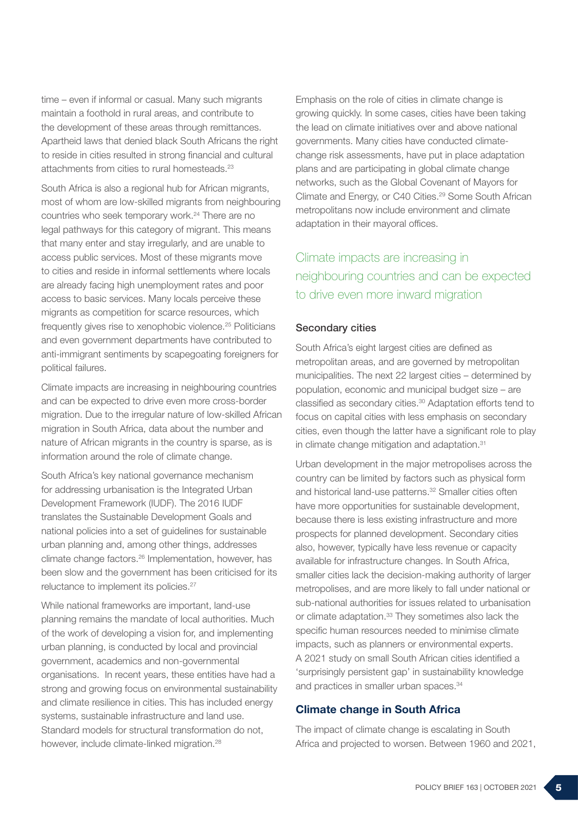time – even if informal or casual. Many such migrants maintain a foothold in rural areas, and contribute to the development of these areas through remittances. Apartheid laws that denied black South Africans the right to reside in cities resulted in strong financial and cultural attachments from cities to rural homesteads.<sup>23</sup>

South Africa is also a regional hub for African migrants, most of whom are low-skilled migrants from neighbouring countries who seek temporary work.<sup>24</sup> There are no legal pathways for this category of migrant. This means that many enter and stay irregularly, and are unable to access public services. Most of these migrants move to cities and reside in informal settlements where locals are already facing high unemployment rates and poor access to basic services. Many locals perceive these migrants as competition for scarce resources, which frequently gives rise to xenophobic violence.25 Politicians and even government departments have contributed to anti-immigrant sentiments by scapegoating foreigners for political failures.

Climate impacts are increasing in neighbouring countries and can be expected to drive even more cross-border migration. Due to the irregular nature of low-skilled African migration in South Africa, data about the number and nature of African migrants in the country is sparse, as is information around the role of climate change.

South Africa's key national governance mechanism for addressing urbanisation is the Integrated Urban Development Framework (IUDF). The 2016 IUDF translates the Sustainable Development Goals and national policies into a set of guidelines for sustainable urban planning and, among other things, addresses climate change factors.26 Implementation, however, has been slow and the government has been criticised for its reluctance to implement its policies.27

While national frameworks are important, land-use planning remains the mandate of local authorities. Much of the work of developing a vision for, and implementing urban planning, is conducted by local and provincial government, academics and non-governmental organisations. In recent years, these entities have had a strong and growing focus on environmental sustainability and climate resilience in cities. This has included energy systems, sustainable infrastructure and land use. Standard models for structural transformation do not, however, include climate-linked migration.<sup>28</sup>

Emphasis on the role of cities in climate change is growing quickly. In some cases, cities have been taking the lead on climate initiatives over and above national governments. Many cities have conducted climatechange risk assessments, have put in place adaptation plans and are participating in global climate change networks, such as the Global Covenant of Mayors for Climate and Energy, or C40 Cities.29 Some South African metropolitans now include environment and climate adaptation in their mayoral offices.

# Climate impacts are increasing in neighbouring countries and can be expected to drive even more inward migration

#### Secondary cities

South Africa's eight largest cities are defined as metropolitan areas, and are governed by metropolitan municipalities. The next 22 largest cities – determined by population, economic and municipal budget size – are classified as secondary cities.<sup>30</sup> Adaptation efforts tend to focus on capital cities with less emphasis on secondary cities, even though the latter have a significant role to play in climate change mitigation and adaptation.<sup>31</sup>

Urban development in the major metropolises across the country can be limited by factors such as physical form and historical land-use patterns.<sup>32</sup> Smaller cities often have more opportunities for sustainable development, because there is less existing infrastructure and more prospects for planned development. Secondary cities also, however, typically have less revenue or capacity available for infrastructure changes. In South Africa, smaller cities lack the decision-making authority of larger metropolises, and are more likely to fall under national or sub-national authorities for issues related to urbanisation or climate adaptation.<sup>33</sup> They sometimes also lack the specific human resources needed to minimise climate impacts, such as planners or environmental experts. A 2021 study on small South African cities identified a 'surprisingly persistent gap' in sustainability knowledge and practices in smaller urban spaces.<sup>34</sup>

#### Climate change in South Africa

The impact of climate change is escalating in South Africa and projected to worsen. Between 1960 and 2021,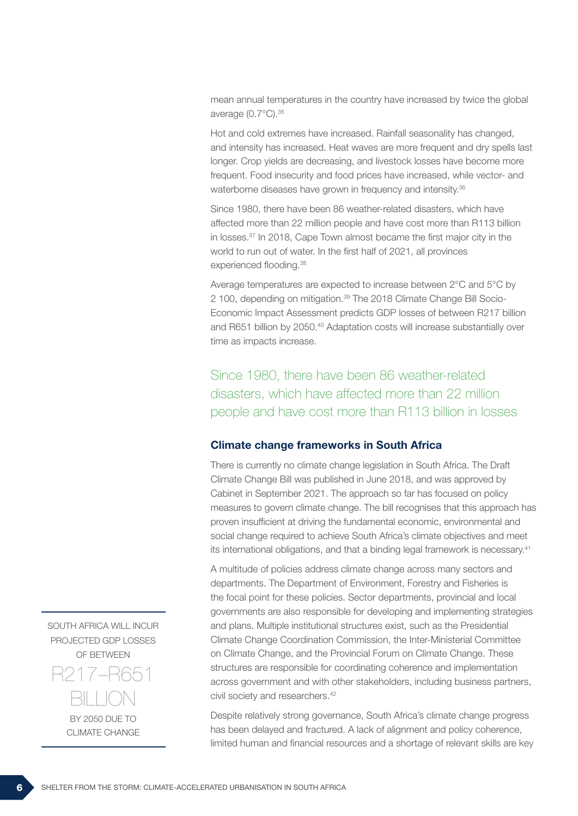mean annual temperatures in the country have increased by twice the global average (0.7°C).35

Hot and cold extremes have increased. Rainfall seasonality has changed, and intensity has increased. Heat waves are more frequent and dry spells last longer. Crop yields are decreasing, and livestock losses have become more frequent. Food insecurity and food prices have increased, while vector- and waterborne diseases have grown in frequency and intensity.<sup>36</sup>

Since 1980, there have been 86 weather-related disasters, which have affected more than 22 million people and have cost more than R113 billion in losses.37 In 2018, Cape Town almost became the first major city in the world to run out of water. In the first half of 2021, all provinces experienced flooding.<sup>38</sup>

Average temperatures are expected to increase between 2°C and 5°C by 2 100, depending on mitigation.39 The 2018 Climate Change Bill Socio-Economic Impact Assessment predicts GDP losses of between R217 billion and R651 billion by 2050.<sup>40</sup> Adaptation costs will increase substantially over time as impacts increase.

Since 1980, there have been 86 weather-related disasters, which have affected more than 22 million people and have cost more than R113 billion in losses

#### Climate change frameworks in South Africa

There is currently no climate change legislation in South Africa. The Draft Climate Change Bill was published in June 2018, and was approved by Cabinet in September 2021. The approach so far has focused on policy measures to govern climate change. The bill recognises that this approach has proven insufficient at driving the fundamental economic, environmental and social change required to achieve South Africa's climate objectives and meet its international obligations, and that a binding legal framework is necessary.<sup>41</sup>

A multitude of policies address climate change across many sectors and departments. The Department of Environment, Forestry and Fisheries is the focal point for these policies. Sector departments, provincial and local governments are also responsible for developing and implementing strategies and plans. Multiple institutional structures exist, such as the Presidential Climate Change Coordination Commission, the Inter-Ministerial Committee on Climate Change, and the Provincial Forum on Climate Change. These structures are responsible for coordinating coherence and implementation across government and with other stakeholders, including business partners, civil society and researchers.<sup>42</sup>

Despite relatively strong governance, South Africa's climate change progress has been delayed and fractured. A lack of alignment and policy coherence, limited human and financial resources and a shortage of relevant skills are key

SOUTH AFRICA WILL INCUR PROJECTED GDP LOSSES OF BETWEEN

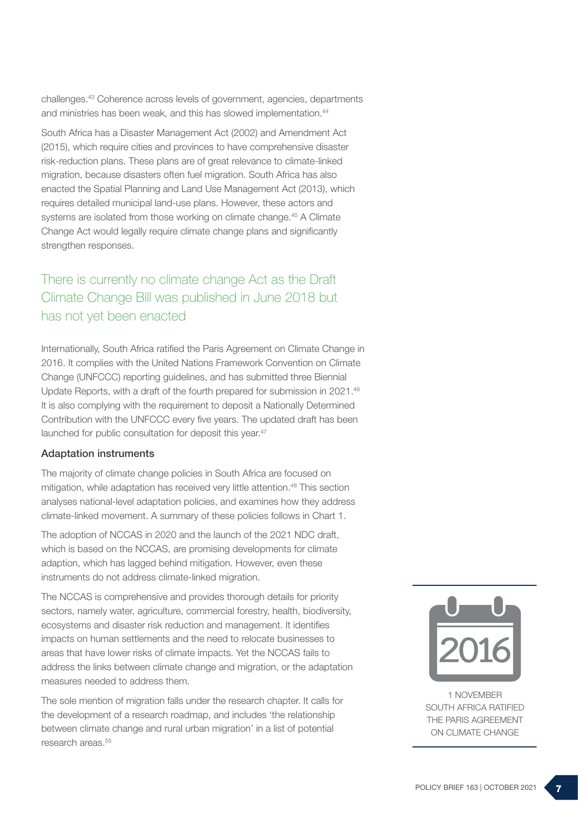challenges.43 Coherence across levels of government, agencies, departments and ministries has been weak, and this has slowed implementation.<sup>44</sup>

South Africa has a Disaster Management Act (2002) and Amendment Act (2015), which require cities and provinces to have comprehensive disaster risk-reduction plans. These plans are of great relevance to climate-linked migration, because disasters often fuel migration. South Africa has also enacted the Spatial Planning and Land Use Management Act (2013), which requires detailed municipal land-use plans. However, these actors and systems are isolated from those working on climate change.<sup>45</sup> A Climate Change Act would legally require climate change plans and significantly strengthen responses.

### There is currently no climate change Act as the Draft Climate Change Bill was published in June 2018 but has not yet been enacted

Internationally, South Africa ratified the Paris Agreement on Climate Change in 2016. It complies with the United Nations Framework Convention on Climate Change (UNFCCC) reporting guidelines, and has submitted three Biennial Update Reports, with a draft of the fourth prepared for submission in 2021.46 It is also complying with the requirement to deposit a Nationally Determined Contribution with the UNFCCC every five years. The updated draft has been launched for public consultation for deposit this year.<sup>47</sup>

#### Adaptation instruments

The majority of climate change policies in South Africa are focused on mitigation, while adaptation has received very little attention.48 This section analyses national-level adaptation policies, and examines how they address climate-linked movement. A summary of these policies follows in Chart 1.

The adoption of NCCAS in 2020 and the launch of the 2021 NDC draft, which is based on the NCCAS, are promising developments for climate adaption, which has lagged behind mitigation. However, even these instruments do not address climate-linked migration.

The NCCAS is comprehensive and provides thorough details for priority sectors, namely water, agriculture, commercial forestry, health, biodiversity, ecosystems and disaster risk reduction and management. It identifies impacts on human settlements and the need to relocate businesses to areas that have lower risks of climate impacts. Yet the NCCAS fails to address the links between climate change and migration, or the adaptation measures needed to address them.

The sole mention of migration falls under the research chapter. It calls for the development of a research roadmap, and includes 'the relationship between climate change and rural urban migration' in a list of potential research areas.<sup>55</sup>



1 NOVEMBER SOUTH AFRICA RATIFIED THE PARIS AGREEMENT ON CLIMATE CHANGE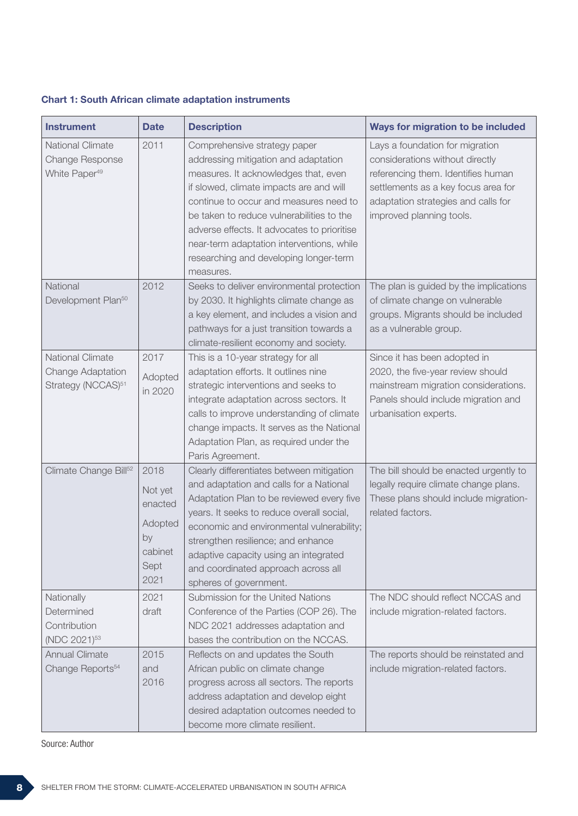| <b>Instrument</b>                                                       | <b>Date</b>                                                            | <b>Description</b>                                                                                                                                                                                                                                                                                                                                                                                | <b>Ways for migration to be included</b>                                                                                                                                                                           |
|-------------------------------------------------------------------------|------------------------------------------------------------------------|---------------------------------------------------------------------------------------------------------------------------------------------------------------------------------------------------------------------------------------------------------------------------------------------------------------------------------------------------------------------------------------------------|--------------------------------------------------------------------------------------------------------------------------------------------------------------------------------------------------------------------|
| <b>National Climate</b><br>Change Response<br>White Paper <sup>49</sup> | 2011                                                                   | Comprehensive strategy paper<br>addressing mitigation and adaptation<br>measures. It acknowledges that, even<br>if slowed, climate impacts are and will<br>continue to occur and measures need to<br>be taken to reduce vulnerabilities to the<br>adverse effects. It advocates to prioritise<br>near-term adaptation interventions, while<br>researching and developing longer-term<br>measures. | Lays a foundation for migration<br>considerations without directly<br>referencing them. Identifies human<br>settlements as a key focus area for<br>adaptation strategies and calls for<br>improved planning tools. |
| National<br>Development Plan <sup>50</sup>                              | 2012                                                                   | Seeks to deliver environmental protection<br>by 2030. It highlights climate change as<br>a key element, and includes a vision and<br>pathways for a just transition towards a<br>climate-resilient economy and society.                                                                                                                                                                           | The plan is guided by the implications<br>of climate change on vulnerable<br>groups. Migrants should be included<br>as a vulnerable group.                                                                         |
| National Climate<br>Change Adaptation<br>Strategy (NCCAS) <sup>51</sup> | 2017<br>Adopted<br>in 2020                                             | This is a 10-year strategy for all<br>adaptation efforts. It outlines nine<br>strategic interventions and seeks to<br>integrate adaptation across sectors. It<br>calls to improve understanding of climate<br>change impacts. It serves as the National<br>Adaptation Plan, as required under the<br>Paris Agreement.                                                                             | Since it has been adopted in<br>2020, the five-year review should<br>mainstream migration considerations.<br>Panels should include migration and<br>urbanisation experts.                                          |
| Climate Change Bill <sup>52</sup>                                       | 2018<br>Not yet<br>enacted<br>Adopted<br>by<br>cabinet<br>Sept<br>2021 | Clearly differentiates between mitigation<br>and adaptation and calls for a National<br>Adaptation Plan to be reviewed every five<br>years. It seeks to reduce overall social,<br>economic and environmental vulnerability;<br>strengthen resilience; and enhance<br>adaptive capacity using an integrated<br>and coordinated approach across all<br>spheres of government.                       | The bill should be enacted urgently to<br>legally require climate change plans.<br>These plans should include migration-<br>related factors.                                                                       |
| Nationally<br>Determined<br>Contribution<br>(NDC 2021) <sup>53</sup>    | 2021<br>draft                                                          | Submission for the United Nations<br>Conference of the Parties (COP 26). The<br>NDC 2021 addresses adaptation and<br>bases the contribution on the NCCAS.                                                                                                                                                                                                                                         | The NDC should reflect NCCAS and<br>include migration-related factors.                                                                                                                                             |
| <b>Annual Climate</b><br>Change Reports <sup>54</sup>                   | 2015<br>and<br>2016                                                    | Reflects on and updates the South<br>African public on climate change<br>progress across all sectors. The reports<br>address adaptation and develop eight<br>desired adaptation outcomes needed to<br>become more climate resilient.                                                                                                                                                              | The reports should be reinstated and<br>include migration-related factors.                                                                                                                                         |

Source: Author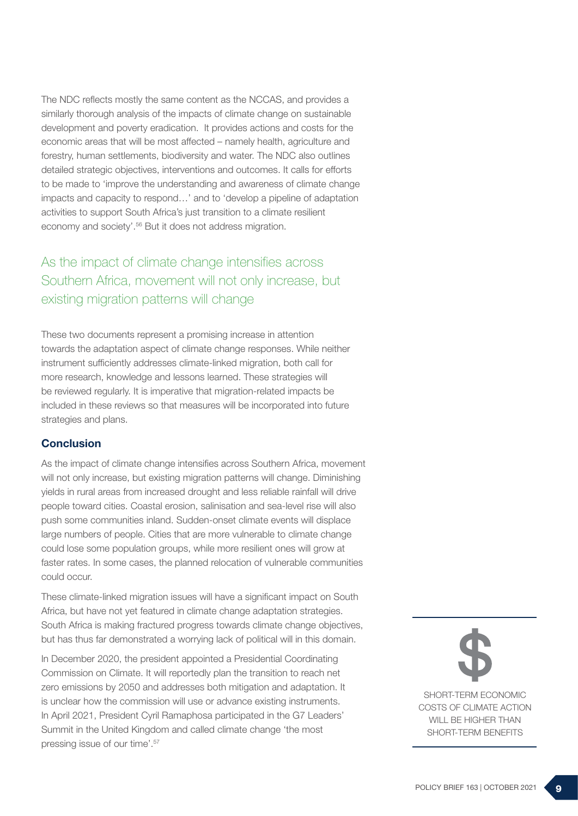The NDC reflects mostly the same content as the NCCAS, and provides a similarly thorough analysis of the impacts of climate change on sustainable development and poverty eradication. It provides actions and costs for the economic areas that will be most affected – namely health, agriculture and forestry, human settlements, biodiversity and water. The NDC also outlines detailed strategic objectives, interventions and outcomes. It calls for efforts to be made to 'improve the understanding and awareness of climate change impacts and capacity to respond…' and to 'develop a pipeline of adaptation activities to support South Africa's just transition to a climate resilient economy and society'.56 But it does not address migration.

# As the impact of climate change intensifies across Southern Africa, movement will not only increase, but existing migration patterns will change

These two documents represent a promising increase in attention towards the adaptation aspect of climate change responses. While neither instrument sufficiently addresses climate-linked migration, both call for more research, knowledge and lessons learned. These strategies will be reviewed regularly. It is imperative that migration-related impacts be included in these reviews so that measures will be incorporated into future strategies and plans.

#### **Conclusion**

As the impact of climate change intensifies across Southern Africa, movement will not only increase, but existing migration patterns will change. Diminishing yields in rural areas from increased drought and less reliable rainfall will drive people toward cities. Coastal erosion, salinisation and sea-level rise will also push some communities inland. Sudden-onset climate events will displace large numbers of people. Cities that are more vulnerable to climate change could lose some population groups, while more resilient ones will grow at faster rates. In some cases, the planned relocation of vulnerable communities could occur.

These climate-linked migration issues will have a significant impact on South Africa, but have not yet featured in climate change adaptation strategies. South Africa is making fractured progress towards climate change objectives, but has thus far demonstrated a worrying lack of political will in this domain.

In December 2020, the president appointed a Presidential Coordinating Commission on Climate. It will reportedly plan the transition to reach net zero emissions by 2050 and addresses both mitigation and adaptation. It is unclear how the commission will use or advance existing instruments. In April 2021, President Cyril Ramaphosa participated in the G7 Leaders' Summit in the United Kingdom and called climate change 'the most pressing issue of our time'.57

SHORT-TERM ECONOMIC COSTS OF CLIMATE ACTION WILL BE HIGHER THAN SHORT-TERM BENEFITS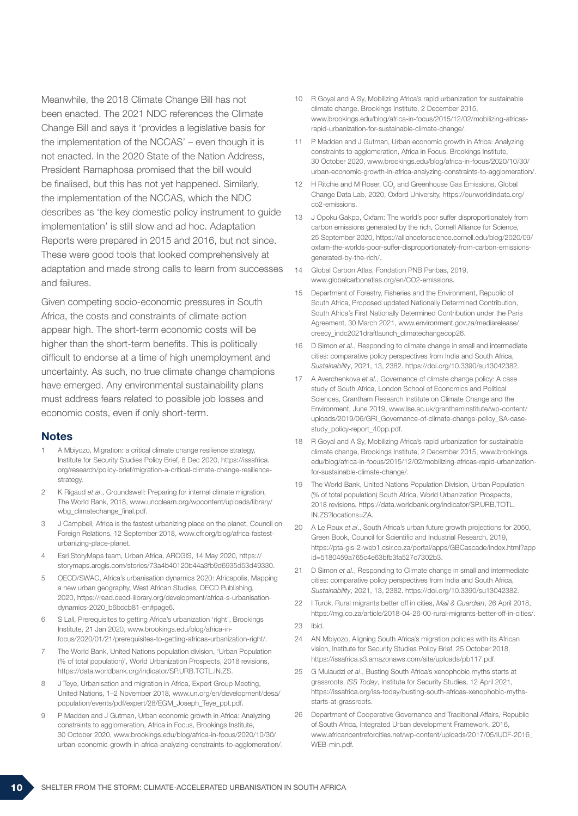Meanwhile, the 2018 Climate Change Bill has not been enacted. The 2021 NDC references the Climate Change Bill and says it 'provides a legislative basis for the implementation of the NCCAS' – even though it is not enacted. In the 2020 State of the Nation Address, President Ramaphosa promised that the bill would be finalised, but this has not yet happened. Similarly, the implementation of the NCCAS, which the NDC describes as 'the key domestic policy instrument to guide implementation' is still slow and ad hoc. Adaptation Reports were prepared in 2015 and 2016, but not since. These were good tools that looked comprehensively at adaptation and made strong calls to learn from successes and failures.

Given competing socio-economic pressures in South Africa, the costs and constraints of climate action appear high. The short-term economic costs will be higher than the short-term benefits. This is politically difficult to endorse at a time of high unemployment and uncertainty. As such, no true climate change champions have emerged. Any environmental sustainability plans must address fears related to possible job losses and economic costs, even if only short-term.

#### Notes

- 1 A Mbiyozo, Migration: a critical climate change resilience strategy, Institute for Security Studies Policy Brief, 8 Dec 2020, https://issafrica. org/research/policy-brief/migration-a-critical-climate-change-resiliencestrategy.
- 2 K Rigaud *et al*., Groundswell: Preparing for internal climate migration, The World Bank, 2018, www.uncclearn.org/wpcontent/uploads/library/ wbg\_climatechange\_final.pdf.
- 3 J Campbell, Africa is the fastest urbanizing place on the planet, Council on Foreign Relations, 12 September 2018, www.cfr.org/blog/africa-fastesturbanizing-place-planet.
- 4 Esri StoryMaps team, Urban Africa, ARCGIS, 14 May 2020, https:// storymaps.arcgis.com/stories/73a4b40120b44a3fb9d6935d53d49330.
- 5 OECD/SWAC, Africa's urbanisation dynamics 2020: Africapolis, Mapping a new urban geography, West African Studies, OECD Publishing, 2020, https://read.oecd-ilibrary.org/development/africa-s-urbanisationdynamics-2020\_b6bccb81-en#page6.
- 6 S Lall, Prerequisites to getting Africa's urbanization 'right', Brookings Institute, 21 Jan 2020, www.brookings.edu/blog/africa-infocus/2020/01/21/prerequisites-to-getting-africas-urbanization-right/.
- 7 The World Bank, United Nations population division, 'Urban Population (% of total population)', World Urbanization Prospects, 2018 revisions, https://data.worldbank.org/indicator/SP.URB.TOTL.IN.ZS.
- 8 J Teve, Urbanisation and migration in Africa, Expert Group Meeting, United Nations, 1–2 November 2018, www.un.org/en/development/desa/ population/events/pdf/expert/28/EGM\_Joseph\_Teye\_ppt.pdf.
- 9 P Madden and J Gutman, Urban economic growth in Africa: Analyzing constraints to agglomeration, Africa in Focus, Brookings Institute, 30 October 2020, www.brookings.edu/blog/africa-in-focus/2020/10/30/ urban-economic-growth-in-africa-analyzing-constraints-to-agglomeration/.
- 10 R Goyal and A Sy, Mobilizing Africa's rapid urbanization for sustainable climate change, Brookings Institute, 2 December 2015, www.brookings.edu/blog/africa-in-focus/2015/12/02/mobilizing-africasrapid-urbanization-for-sustainable-climate-change/.
- 11 P Madden and J Gutman, Urban economic growth in Africa: Analyzing constraints to agglomeration, Africa in Focus, Brookings Institute, 30 October 2020, www.brookings.edu/blog/africa-in-focus/2020/10/30/ urban-economic-growth-in-africa-analyzing-constraints-to-agglomeration/.
- 12  $\parallel$  H Ritchie and M Roser, CO<sub>2</sub> and Greenhouse Gas Emissions, Global Change Data Lab, 2020, Oxford University, https://ourworldindata.org/ co2-emissions.
- 13 J Opoku Gakpo, Oxfam: The world's poor suffer disproportionately from carbon emissions generated by the rich, Cornell Alliance for Science, 25 September 2020, https://allianceforscience.cornell.edu/blog/2020/09/ oxfam-the-worlds-poor-suffer-disproportionately-from-carbon-emissionsgenerated-by-the-rich/.
- 14 Global Carbon Atlas, Fondation PNB Paribas, 2019, www.globalcarbonatlas.org/en/CO2-emissions.
- 15 Department of Forestry, Fisheries and the Environment, Republic of South Africa, Proposed updated Nationally Determined Contribution, South Africa's First Nationally Determined Contribution under the Paris Agreement, 30 March 2021, www.environment.gov.za/mediarelease/ creecy\_indc2021draftlaunch\_climatechangecop26.
- 16 D Simon *et al*., Responding to climate change in small and intermediate cities: comparative policy perspectives from India and South Africa, *Sustainability*, 2021, 13, 2382. https://doi.org/10.3390/su13042382.
- 17 A Averchenkova *et al*., Governance of climate change policy: A case study of South Africa, London School of Economics and Political Sciences, Grantham Research Institute on Climate Change and the Environment, June 2019, www.lse.ac.uk/granthaminstitute/wp-content/ uploads/2019/06/GRI\_Governance-of-climate-change-policy\_SA-casestudy\_policy-report\_40pp.pdf.
- 18 R Goyal and A Sy, Mobilizing Africa's rapid urbanization for sustainable climate change, Brookings Institute, 2 December 2015, www.brookings. edu/blog/africa-in-focus/2015/12/02/mobilizing-africas-rapid-urbanizationfor-sustainable-climate-change/.
- 19 The World Bank, United Nations Population Division, Urban Population (% of total population) South Africa, World Urbanization Prospects, 2018 revisions, https://data.worldbank.org/indicator/SP.URB.TOTL. IN.ZS?locations=ZA.
- 20 A Le Roux *et al*., South Africa's urban future growth projections for 2050, Green Book, Council for Scientific and Industrial Research, 2019, https://pta-gis-2-web1.csir.co.za/portal/apps/GBCascade/index.html?app id=5180459a765c4e63bfb3fa527c7302b3.
- 21 D Simon *et al*., Responding to Climate change in small and intermediate cities: comparative policy perspectives from India and South Africa, *Sustainability*, 2021, 13, 2382. https://doi.org/10.3390/su13042382.
- 22 I Turok, Rural migrants better off in cities, *Mail & Guardian*, 26 April 2018, https://mg.co.za/article/2018-04-26-00-rural-migrants-better-off-in-cities/.
- 23 Ibid.
- 24 AN Mbiyozo, Aligning South Africa's migration policies with its African vision, Institute for Security Studies Policy Brief, 25 October 2018, https://issafrica.s3.amazonaws.com/site/uploads/pb117.pdf.
- 25 G Mulaudzi *et al*., Busting South Africa's xenophobic myths starts at grassroots, *ISS Today*, Institute for Security Studies, 12 April 2021, https://issafrica.org/iss-today/busting-south-africas-xenophobic-mythsstarts-at-grassroots.
- 26 Department of Cooperative Governance and Traditional Affairs, Republic of South Africa, Integrated Urban development Framework, 2016, www.africancentreforcities.net/wp-content/uploads/2017/05/IUDF-2016\_ WEB-min.pdf.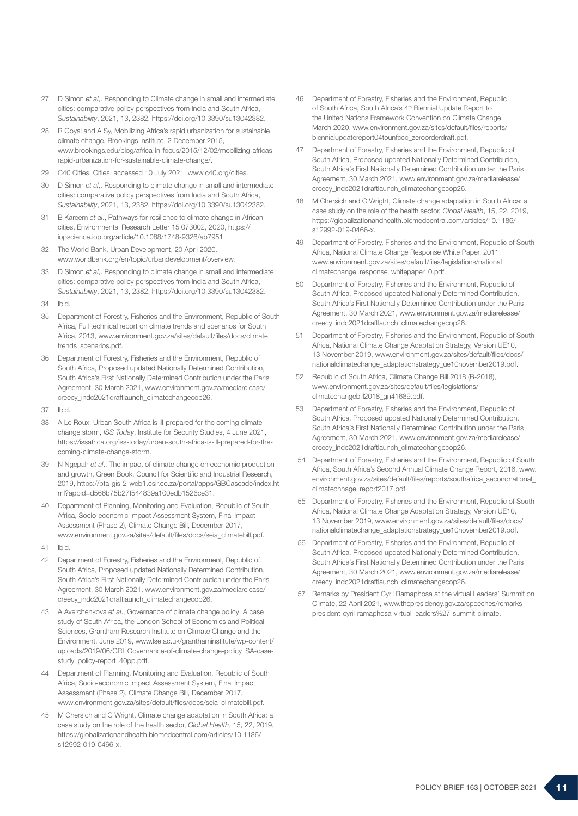- 27 D Simon *et al*,. Responding to Climate change in small and intermediate cities: comparative policy perspectives from India and South Africa, *Sustainability*, 2021, 13, 2382. https://doi.org/10.3390/su13042382.
- 28 R Goyal and A Sy, Mobilizing Africa's rapid urbanization for sustainable climate change, Brookings Institute, 2 December 2015, www.brookings.edu/blog/africa-in-focus/2015/12/02/mobilizing-africasrapid-urbanization-for-sustainable-climate-change/.
- 29 C40 Cities, Cities, accessed 10 July 2021, www.c40.org/cities.
- 30 D Simon *et al*,. Responding to climate change in small and intermediate cities: comparative policy perspectives from India and South Africa, *Sustainability*, 2021, 13, 2382. https://doi.org/10.3390/su13042382.
- 31 B Kareem *et al*., Pathways for resilience to climate change in African cities, Environmental Research Letter 15 073002, 2020, https:// iopscience.iop.org/article/10.1088/1748-9326/ab7951.
- 32 The World Bank, Urban Development, 20 April 2020, www.worldbank.org/en/topic/urbandevelopment/overview.
- 33 D Simon *et al*,. Responding to climate change in small and intermediate cities: comparative policy perspectives from India and South Africa, *Sustainability*, 2021, 13, 2382. https://doi.org/10.3390/su13042382.
- 34 Ibid.
- 35 Department of Forestry, Fisheries and the Environment, Republic of South Africa, Full technical report on climate trends and scenarios for South Africa, 2013, www.environment.gov.za/sites/default/files/docs/climate\_ trends\_scenarios.pdf.
- 36 Department of Forestry, Fisheries and the Environment, Republic of South Africa, Proposed updated Nationally Determined Contribution, South Africa's First Nationally Determined Contribution under the Paris Agreement, 30 March 2021, www.environment.gov.za/mediarelease/ creecy\_indc2021draftlaunch\_climatechangecop26.
- 37 Ibid.
- 38 A Le Roux, Urban South Africa is ill-prepared for the coming climate change storm, *ISS Today*, Institute for Security Studies, 4 June 2021, https://issafrica.org/iss-today/urban-south-africa-is-ill-prepared-for-thecoming-climate-change-storm.
- 39 N Ngepah *et al*., The impact of climate change on economic production and growth, Green Book, Council for Scientific and Industrial Research, 2019, https://pta-gis-2-web1.csir.co.za/portal/apps/GBCascade/index.ht ml?appid=d566b75b27f544839a100edb1526ce31.
- 40 Department of Planning, Monitoring and Evaluation, Republic of South Africa, Socio-economic Impact Assessment System, Final Impact Assessment (Phase 2), Climate Change Bill, December 2017, www.environment.gov.za/sites/default/files/docs/seia\_climatebill.pdf.
- 41 Ibid.
- 42 Department of Forestry, Fisheries and the Environment, Republic of South Africa, Proposed updated Nationally Determined Contribution, South Africa's First Nationally Determined Contribution under the Paris Agreement, 30 March 2021, www.environment.gov.za/mediarelease/ creecy\_indc2021draftlaunch\_climatechangecop26.
- 43 A Averchenkova *et al*., Governance of climate change policy: A case study of South Africa, the London School of Economics and Political Sciences, Grantham Research Institute on Climate Change and the Environment, June 2019, www.lse.ac.uk/granthaminstitute/wp-content/ uploads/2019/06/GRI\_Governance-of-climate-change-policy\_SA-casestudy\_policy-report\_40pp.pdf.
- 44 Department of Planning, Monitoring and Evaluation, Republic of South Africa, Socio-economic Impact Assessment System, Final Impact Assessment (Phase 2), Climate Change Bill, December 2017, www.environment.gov.za/sites/default/files/docs/seia\_climatebill.pdf.
- 45 M Chersich and C Wright, Climate change adaptation in South Africa: a case study on the role of the health sector, *Global Health*, 15, 22, 2019, https://globalizationandhealth.biomedcentral.com/articles/10.1186/ s12992-019-0466-x.
- 46 Department of Forestry, Fisheries and the Environment, Republic of South Africa, South Africa's 4<sup>th</sup> Biennial Update Report to the United Nations Framework Convention on Climate Change, March 2020, www.environment.gov.za/sites/default/files/reports/ biennialupdatereport04tounfccc\_zeroorderdraft.pdf.
- 47 Department of Forestry, Fisheries and the Environment, Republic of South Africa, Proposed updated Nationally Determined Contribution, South Africa's First Nationally Determined Contribution under the Paris Agreement, 30 March 2021, www.environment.gov.za/mediarelease/ creecy\_indc2021draftlaunch\_climatechangecop26.
- 48 M Chersich and C Wright, Climate change adaptation in South Africa: a case study on the role of the health sector, *Global Health*, 15, 22, 2019, https://globalizationandhealth.biomedcentral.com/articles/10.1186/ s12992-019-0466-x.
- 49 Department of Forestry, Fisheries and the Environment, Republic of South Africa, National Climate Change Response White Paper, 2011, www.environment.gov.za/sites/default/files/legislations/national\_ climatechange\_response\_whitepaper\_0.pdf.
- 50 Department of Forestry, Fisheries and the Environment, Republic of South Africa, Proposed updated Nationally Determined Contribution, South Africa's First Nationally Determined Contribution under the Paris Agreement, 30 March 2021, www.environment.gov.za/mediarelease/ creecy\_indc2021draftlaunch\_climatechangecop26.
- 51 Department of Forestry, Fisheries and the Environment, Republic of South Africa, National Climate Change Adaptation Strategy, Version UE10, 13 November 2019, www.environment.gov.za/sites/default/files/docs/ nationalclimatechange\_adaptationstrategy\_ue10november2019.pdf.
- 52 Republic of South Africa, Climate Change Bill 2018 (B-2018), www.environment.gov.za/sites/default/files/legislations/ climatechangebill2018\_gn41689.pdf.
- 53 Department of Forestry, Fisheries and the Environment, Republic of South Africa, Proposed updated Nationally Determined Contribution, South Africa's First Nationally Determined Contribution under the Paris Agreement, 30 March 2021, www.environment.gov.za/mediarelease/ creecy\_indc2021draftlaunch\_climatechangecop26.
- 54 Department of Forestry, Fisheries and the Environment, Republic of South Africa, South Africa's Second Annual Climate Change Report, 2016, www. environment.gov.za/sites/default/files/reports/southafrica\_secondnational\_ climatechnage\_report2017.pdf.
- 55 Department of Forestry, Fisheries and the Environment, Republic of South Africa, National Climate Change Adaptation Strategy, Version UE10, 13 November 2019, www.environment.gov.za/sites/default/files/docs/ nationalclimatechange\_adaptationstrategy\_ue10november2019.pdf.
- 56 Department of Forestry, Fisheries and the Environment, Republic of South Africa, Proposed updated Nationally Determined Contribution, South Africa's First Nationally Determined Contribution under the Paris Agreement, 30 March 2021, www.environment.gov.za/mediarelease/ creecy\_indc2021draftlaunch\_climatechangecop26.
- 57 Remarks by President Cyril Ramaphosa at the virtual Leaders' Summit on Climate, 22 April 2021, www.thepresidency.gov.za/speeches/remarkspresident-cyril-ramaphosa-virtual-leaders%27-summit-climate.